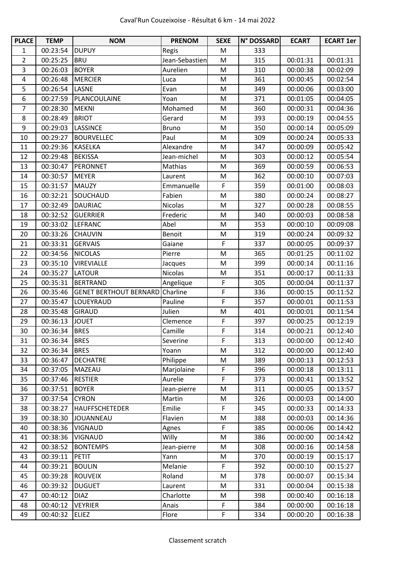| <b>PLACE</b>   | <b>TEMP</b> | <b>NOM</b>                    | <b>PRENOM</b>  | <b>SEXE</b> | N° DOSSARD | <b>ECART</b> | <b>ECART 1er</b> |
|----------------|-------------|-------------------------------|----------------|-------------|------------|--------------|------------------|
| $\mathbf{1}$   | 00:23:54    | <b>DUPUY</b>                  | Regis          | M           | 333        |              |                  |
| $\overline{2}$ | 00:25:25    | <b>BRU</b>                    | Jean-Sebastien | M           | 315        | 00:01:31     | 00:01:31         |
| 3              | 00:26:03    | <b>BOYER</b>                  | Aurelien       | M           | 310        | 00:00:38     | 00:02:09         |
| $\overline{4}$ | 00:26:48    | <b>MERCIER</b>                | Luca           | M           | 361        | 00:00:45     | 00:02:54         |
| 5              | 00:26:54    | <b>LASNE</b>                  | Evan           | M           | 349        | 00:00:06     | 00:03:00         |
| 6              | 00:27:59    | PLANCOULAINE                  | Yoan           | M           | 371        | 00:01:05     | 00:04:05         |
| 7              | 00:28:30    | <b>MEKNI</b>                  | Mohamed        | M           | 360        | 00:00:31     | 00:04:36         |
| 8              | 00:28:49    | <b>BRIOT</b>                  | Gerard         | M           | 393        | 00:00:19     | 00:04:55         |
| 9              | 00:29:03    | <b>LASSINCE</b>               | <b>Bruno</b>   | M           | 350        | 00:00:14     | 00:05:09         |
| 10             | 00:29:27    | <b>BOURVELLEC</b>             | Paul           | M           | 309        | 00:00:24     | 00:05:33         |
| 11             | 00:29:36    | <b>KASELKA</b>                | Alexandre      | M           | 347        | 00:00:09     | 00:05:42         |
| 12             | 00:29:48    | <b>BEKISSA</b>                | Jean-michel    | M           | 303        | 00:00:12     | 00:05:54         |
| 13             | 00:30:47    | PERONNET                      | Mathias        | M           | 369        | 00:00:59     | 00:06:53         |
| 14             | 00:30:57    | <b>MEYER</b>                  | Laurent        | M           | 362        | 00:00:10     | 00:07:03         |
| 15             | 00:31:57    | <b>MAUZY</b>                  | Emmanuelle     | $\mathsf F$ | 359        | 00:01:00     | 00:08:03         |
| 16             | 00:32:21    | SOUCHAUD                      | Fabien         | M           | 380        | 00:00:24     | 00:08:27         |
| 17             | 00:32:49    | <b>DAURIAC</b>                | <b>Nicolas</b> | M           | 327        | 00:00:28     | 00:08:55         |
| 18             | 00:32:52    | <b>GUERRIER</b>               | Frederic       | M           | 340        | 00:00:03     | 00:08:58         |
| 19             | 00:33:02    | <b>LEFRANC</b>                | Abel           | M           | 353        | 00:00:10     | 00:09:08         |
| 20             | 00:33:26    | <b>CHAUVIN</b>                | Benoit         | M           | 319        | 00:00:24     | 00:09:32         |
| 21             | 00:33:31    | <b>GERVAIS</b>                | Gaiane         | $\mathsf F$ | 337        | 00:00:05     | 00:09:37         |
| 22             | 00:34:56    | <b>NICOLAS</b>                | Pierre         | M           | 365        | 00:01:25     | 00:11:02         |
| 23             | 00:35:10    | <b>VIREVIALLE</b>             | Jacques        | M           | 399        | 00:00:14     | 00:11:16         |
| 24             | 00:35:27    | <b>LATOUR</b>                 | <b>Nicolas</b> | M           | 351        | 00:00:17     | 00:11:33         |
| 25             | 00:35:31    | <b>BERTRAND</b>               | Angelique      | F           | 305        | 00:00:04     | 00:11:37         |
| 26             | 00:35:46    | <b>GENET BERTHOUT BERNARD</b> | Charline       | F           | 336        | 00:00:15     | 00:11:52         |
| 27             | 00:35:47    | LOUEYRAUD                     | Pauline        | F           | 357        | 00:00:01     | 00:11:53         |
| 28             | 00:35:48    | <b>GIRAUD</b>                 | Julien         | M           | 401        | 00:00:01     | 00:11:54         |
| 29             | 00:36:13    | <b>JOUET</b>                  | Clemence       | F           | 397        | 00:00:25     | 00:12:19         |
| 30             | 00:36:34    | <b>BRES</b>                   | Camille        | F           | 314        | 00:00:21     | 00:12:40         |
| 31             | 00:36:34    | <b>BRES</b>                   | Severine       | F           | 313        | 00:00:00     | 00:12:40         |
| 32             | 00:36:34    | <b>BRES</b>                   | Yoann          | M           | 312        | 00:00:00     | 00:12:40         |
| 33             | 00:36:47    | <b>DECHATRE</b>               | Philippe       | M           | 389        | 00:00:13     | 00:12:53         |
| 34             | 00:37:05    | MAZEAU                        | Marjolaine     | $\mathsf F$ | 396        | 00:00:18     | 00:13:11         |
| 35             | 00:37:46    | <b>RESTIER</b>                | Aurelie        | F           | 373        | 00:00:41     | 00:13:52         |
| 36             | 00:37:51    | <b>BOYER</b>                  | Jean-pierre    | M           | 311        | 00:00:05     | 00:13:57         |
| 37             | 00:37:54    | <b>CYRON</b>                  | Martin         | M           | 326        | 00:00:03     | 00:14:00         |
| 38             | 00:38:27    | <b>HAUFFSCHETEDER</b>         | Emilie         | F           | 345        | 00:00:33     | 00:14:33         |
| 39             | 00:38:30    | JOUANNEAU                     | Flavien        | M           | 388        | 00:00:03     | 00:14:36         |
| 40             | 00:38:36    | <b>VIGNAUD</b>                | Agnes          | F           | 385        | 00:00:06     | 00:14:42         |
| 41             | 00:38:36    | <b>VIGNAUD</b>                | Willy          | M           | 386        | 00:00:00     | 00:14:42         |
| 42             | 00:38:52    | <b>BONTEMPS</b>               | Jean-pierre    | M           | 308        | 00:00:16     | 00:14:58         |
| 43             | 00:39:11    | <b>PETIT</b>                  | Yann           | M           | 370        | 00:00:19     | 00:15:17         |
| 44             | 00:39:21    | <b>BOULIN</b>                 | Melanie        | F           | 392        | 00:00:10     | 00:15:27         |
| 45             | 00:39:28    | <b>ROUVEIX</b>                | Roland         | M           | 378        | 00:00:07     | 00:15:34         |
| 46             | 00:39:32    | <b>DUGUET</b>                 | Laurent        | M           | 331        | 00:00:04     | 00:15:38         |
| 47             | 00:40:12    | <b>DIAZ</b>                   | Charlotte      | M           | 398        | 00:00:40     | 00:16:18         |
| 48             | 00:40:12    | <b>VEYRIER</b>                | Anais          | F           | 384        | 00:00:00     | 00:16:18         |
| 49             | 00:40:32    | <b>ELIEZ</b>                  | Flore          | F           | 334        | 00:00:20     | 00:16:38         |